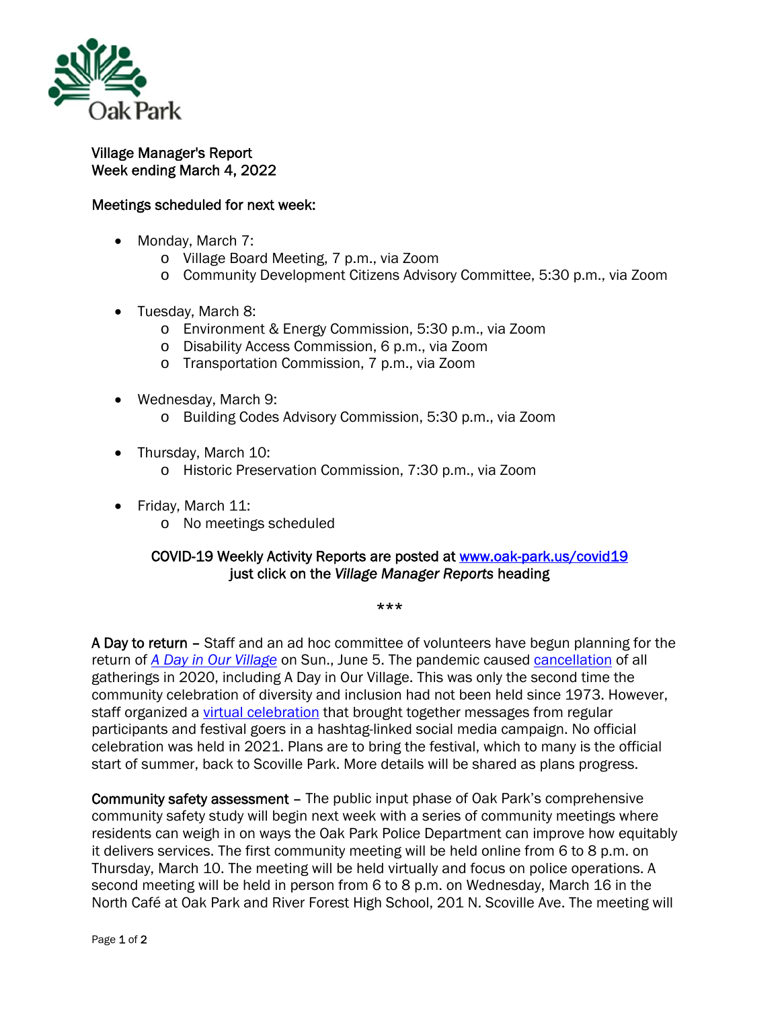

## Village Manager's Report Week ending March 4, 2022

## Meetings scheduled for next week:

- Monday, March 7:
	- o Village Board Meeting, 7 p.m., via Zoom
	- o Community Development Citizens Advisory Committee, 5:30 p.m., via Zoom
- Tuesday, March 8:
	- o Environment & Energy Commission, 5:30 p.m., via Zoom
	- o Disability Access Commission, 6 p.m., via Zoom
	- o Transportation Commission, 7 p.m., via Zoom
- Wednesday, March 9:
	- o Building Codes Advisory Commission, 5:30 p.m., via Zoom
- Thursday, March 10:
	- o Historic Preservation Commission, 7:30 p.m., via Zoom
- Friday, March 11:
	- o No meetings scheduled

## COVID-19 Weekly Activity Reports are posted at www.oak-park.us/covid19 just click on the *Village Manager Reports* heading

\*\*\*

A Day to return - Staff and an ad hoc committee of volunteers have begun planning for the return of *A Day in Our Village* on Sun., June 5. The pandemic caused cancellation of all gatherings in 2020, including A Day in Our Village. This was only the second time the community celebration of diversity and inclusion had not been held since 1973. However, staff organized a virtual celebration that brought together messages from regular participants and festival goers in a hashtag-linked social media campaign. No official celebration was held in 2021. Plans are to bring the festival, which to many is the official start of summer, back to Scoville Park. More details will be shared as plans progress.

Community safety assessment – The public input phase of Oak Park's comprehensive community safety study will begin next week with a series of community meetings where residents can weigh in on ways the Oak Park Police Department can improve how equitably it delivers services. The first community meeting will be held online from 6 to 8 p.m. on Thursday, March 10. The meeting will be held virtually and focus on police operations. A second meeting will be held in person from 6 to 8 p.m. on Wednesday, March 16 in the North Café at Oak Park and River Forest High School, 201 N. Scoville Ave. The meeting will